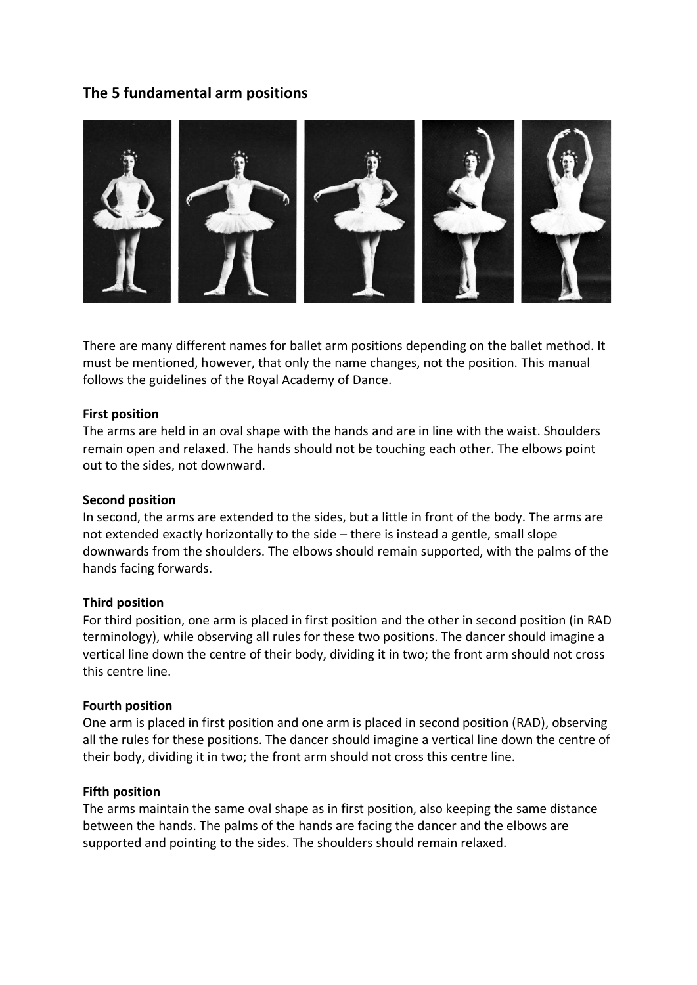# **The 5 fundamental arm positions**



There are many different names for ballet arm positions depending on the ballet method. It must be mentioned, however, that only the name changes, not the position. This manual follows the guidelines of the Royal Academy of Dance.

## **First position**

The arms are held in an oval shape with the hands and are in line with the waist. Shoulders remain open and relaxed. The hands should not be touching each other. The elbows point out to the sides, not downward.

### **Second position**

In second, the arms are extended to the sides, but a little in front of the body. The arms are not extended exactly horizontally to the side – there is instead a gentle, small slope downwards from the shoulders. The elbows should remain supported, with the palms of the hands facing forwards.

#### **Third position**

For third position, one arm is placed in first position and the other in second position (in RAD terminology), while observing all rules for these two positions. The dancer should imagine a vertical line down the centre of their body, dividing it in two; the front arm should not cross this centre line.

#### **Fourth position**

One arm is placed in first position and one arm is placed in second position (RAD), observing all the rules for these positions. The dancer should imagine a vertical line down the centre of their body, dividing it in two; the front arm should not cross this centre line.

#### **Fifth position**

The arms maintain the same oval shape as in first position, also keeping the same distance between the hands. The palms of the hands are facing the dancer and the elbows are supported and pointing to the sides. The shoulders should remain relaxed.